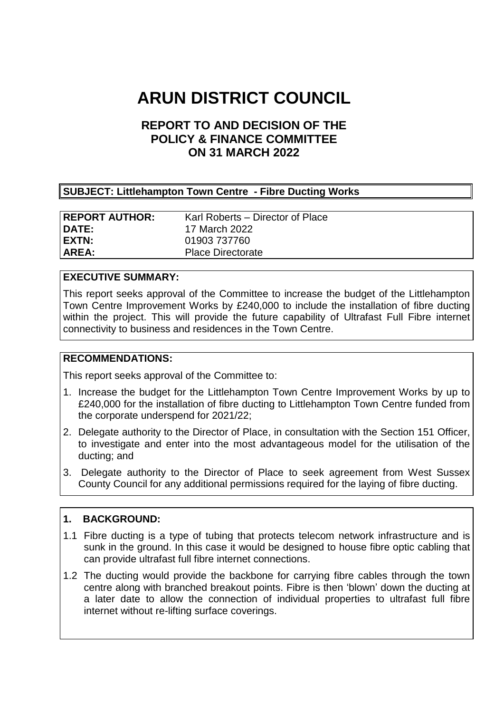# **ARUN DISTRICT COUNCIL**

# **REPORT TO AND DECISION OF THE POLICY & FINANCE COMMITTEE ON 31 MARCH 2022**

## **SUBJECT: Littlehampton Town Centre - Fibre Ducting Works**

| <b>REPORT AUTHOR:</b> | Karl Roberts – Director of Place |
|-----------------------|----------------------------------|
| DATE:                 | 17 March 2022                    |
| EXTN:                 | 01903 737760                     |
| AREA:                 | <b>Place Directorate</b>         |

#### **EXECUTIVE SUMMARY:**

This report seeks approval of the Committee to increase the budget of the Littlehampton Town Centre Improvement Works by £240,000 to include the installation of fibre ducting within the project. This will provide the future capability of Ultrafast Full Fibre internet connectivity to business and residences in the Town Centre.

#### **RECOMMENDATIONS:**

This report seeks approval of the Committee to:

- 1. Increase the budget for the Littlehampton Town Centre Improvement Works by up to £240,000 for the installation of fibre ducting to Littlehampton Town Centre funded from the corporate underspend for 2021/22;
- 2. Delegate authority to the Director of Place, in consultation with the Section 151 Officer, to investigate and enter into the most advantageous model for the utilisation of the ducting; and
- 3. Delegate authority to the Director of Place to seek agreement from West Sussex County Council for any additional permissions required for the laying of fibre ducting.

#### **1. BACKGROUND:**

- 1.1 Fibre ducting is a type of tubing that protects telecom network infrastructure and is sunk in the ground. In this case it would be designed to house fibre optic cabling that can provide ultrafast full fibre internet connections.
- 1.2 The ducting would provide the backbone for carrying fibre cables through the town centre along with branched breakout points. Fibre is then 'blown' down the ducting at a later date to allow the connection of individual properties to ultrafast full fibre internet without re-lifting surface coverings.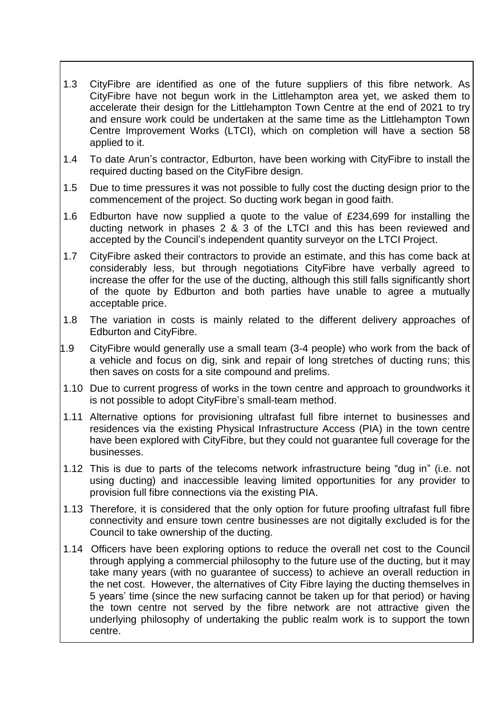- 1.3 CityFibre are identified as one of the future suppliers of this fibre network. As CityFibre have not begun work in the Littlehampton area yet, we asked them to accelerate their design for the Littlehampton Town Centre at the end of 2021 to try and ensure work could be undertaken at the same time as the Littlehampton Town Centre Improvement Works (LTCI), which on completion will have a section 58 applied to it.
- 1.4 To date Arun's contractor, Edburton, have been working with CityFibre to install the required ducting based on the CityFibre design.
- 1.5 Due to time pressures it was not possible to fully cost the ducting design prior to the commencement of the project. So ducting work began in good faith.
- 1.6 Edburton have now supplied a quote to the value of £234,699 for installing the ducting network in phases 2 & 3 of the LTCI and this has been reviewed and accepted by the Council's independent quantity surveyor on the LTCI Project.
- 1.7 CityFibre asked their contractors to provide an estimate, and this has come back at considerably less, but through negotiations CityFibre have verbally agreed to increase the offer for the use of the ducting, although this still falls significantly short of the quote by Edburton and both parties have unable to agree a mutually acceptable price.
- 1.8 The variation in costs is mainly related to the different delivery approaches of Edburton and CityFibre.
- 1.9 CityFibre would generally use a small team (3-4 people) who work from the back of a vehicle and focus on dig, sink and repair of long stretches of ducting runs; this then saves on costs for a site compound and prelims.
- 1.10 Due to current progress of works in the town centre and approach to groundworks it is not possible to adopt CityFibre's small-team method.
- 1.11 Alternative options for provisioning ultrafast full fibre internet to businesses and residences via the existing Physical Infrastructure Access (PIA) in the town centre have been explored with CityFibre, but they could not guarantee full coverage for the businesses.
- 1.12 This is due to parts of the telecoms network infrastructure being "dug in" (i.e. not using ducting) and inaccessible leaving limited opportunities for any provider to provision full fibre connections via the existing PIA.
- 1.13 Therefore, it is considered that the only option for future proofing ultrafast full fibre connectivity and ensure town centre businesses are not digitally excluded is for the Council to take ownership of the ducting.
- 1.14 Officers have been exploring options to reduce the overall net cost to the Council through applying a commercial philosophy to the future use of the ducting, but it may take many years (with no guarantee of success) to achieve an overall reduction in the net cost. However, the alternatives of City Fibre laying the ducting themselves in 5 years' time (since the new surfacing cannot be taken up for that period) or having the town centre not served by the fibre network are not attractive given the underlying philosophy of undertaking the public realm work is to support the town centre.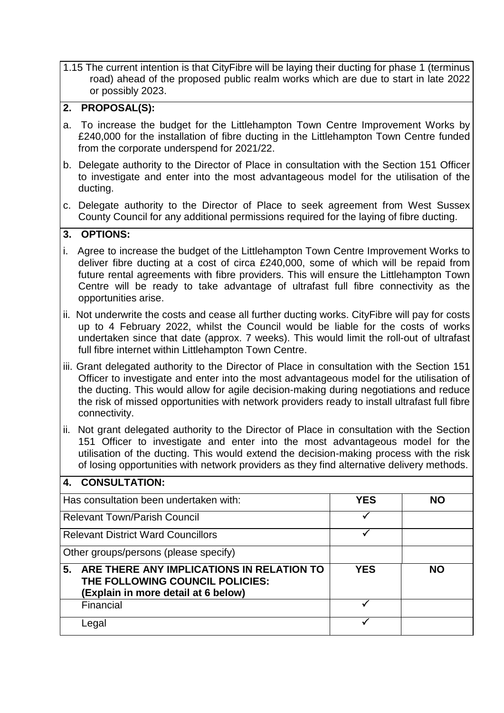1.15 The current intention is that CityFibre will be laying their ducting for phase 1 (terminus road) ahead of the proposed public realm works which are due to start in late 2022 or possibly 2023.

# **2. PROPOSAL(S):**

- a. To increase the budget for the Littlehampton Town Centre Improvement Works by £240,000 for the installation of fibre ducting in the Littlehampton Town Centre funded from the corporate underspend for 2021/22.
- b. Delegate authority to the Director of Place in consultation with the Section 151 Officer to investigate and enter into the most advantageous model for the utilisation of the ducting.
- c. Delegate authority to the Director of Place to seek agreement from West Sussex County Council for any additional permissions required for the laying of fibre ducting.

## **3. OPTIONS:**

**4. CONSULTATION:**

- i. Agree to increase the budget of the Littlehampton Town Centre Improvement Works to deliver fibre ducting at a cost of circa £240,000, some of which will be repaid from future rental agreements with fibre providers. This will ensure the Littlehampton Town Centre will be ready to take advantage of ultrafast full fibre connectivity as the opportunities arise.
- ii. Not underwrite the costs and cease all further ducting works. CityFibre will pay for costs up to 4 February 2022, whilst the Council would be liable for the costs of works undertaken since that date (approx. 7 weeks). This would limit the roll-out of ultrafast full fibre internet within Littlehampton Town Centre.
- iii. Grant delegated authority to the Director of Place in consultation with the Section 151 Officer to investigate and enter into the most advantageous model for the utilisation of the ducting. This would allow for agile decision-making during negotiations and reduce the risk of missed opportunities with network providers ready to install ultrafast full fibre connectivity.
- ii. Not grant delegated authority to the Director of Place in consultation with the Section 151 Officer to investigate and enter into the most advantageous model for the utilisation of the ducting. This would extend the decision-making process with the risk of losing opportunities with network providers as they find alternative delivery methods.

| 4. GUNJULIAIIUN.                                                                                                          |            |           |
|---------------------------------------------------------------------------------------------------------------------------|------------|-----------|
| Has consultation been undertaken with:                                                                                    | <b>YES</b> | <b>NO</b> |
| <b>Relevant Town/Parish Council</b>                                                                                       |            |           |
| <b>Relevant District Ward Councillors</b>                                                                                 |            |           |
| Other groups/persons (please specify)                                                                                     |            |           |
| ARE THERE ANY IMPLICATIONS IN RELATION TO<br>5.<br>THE FOLLOWING COUNCIL POLICIES:<br>(Explain in more detail at 6 below) | <b>YES</b> | <b>NO</b> |
| Financial                                                                                                                 |            |           |
| Legal                                                                                                                     |            |           |